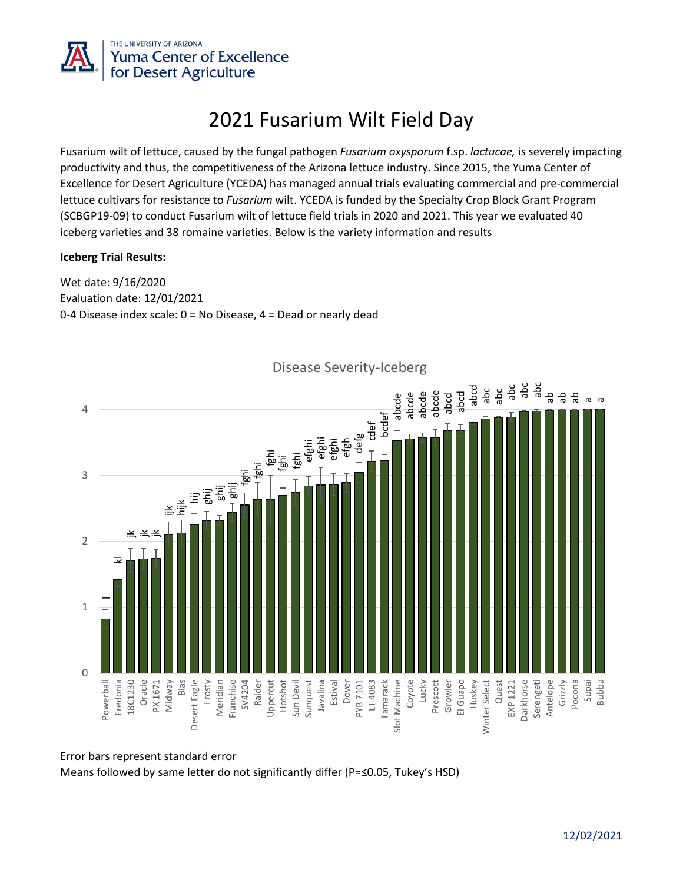

# 2021 Fusarium Wilt Field Day

Fusarium wilt of lettuce, caused by the fungal pathogen *Fusarium oxysporum* f.sp. *lactucae,* is severely impacting productivity and thus, the competitiveness of the Arizona lettuce industry. Since 2015, the Yuma Center of Excellence for Desert Agriculture (YCEDA) has managed annual trials evaluating commercial and pre-commercial lettuce cultivars for resistance to *Fusarium* wilt. YCEDA is funded by the Specialty Crop Block Grant Program (SCBGP19-09) to conduct Fusarium wilt of lettuce field trials in 2020 and 2021. This year we evaluated 40 iceberg varieties and 38 romaine varieties. Below is the variety information and results

### **Iceberg Trial Results:**

Wet date: 9/16/2020 Evaluation date: 12/01/2021 0-4 Disease index scale: 0 = No Disease, 4 = Dead or nearly dead



Disease Severity-Iceberg

Error bars represent standard error Means followed by same letter do not significantly differ (P=≤0.05, Tukey's HSD)